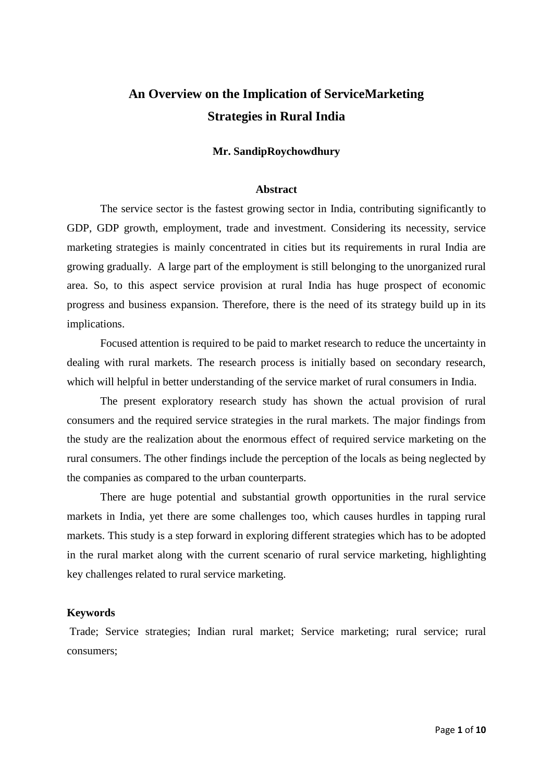# **An Overview on the Implication of ServiceMarketing Strategies in Rural India**

# **Mr. SandipRoychowdhury**

# **Abstract**

The service sector is the fastest growing sector in India, contributing significantly to GDP, GDP growth, employment, trade and investment. Considering its necessity, service marketing strategies is mainly concentrated in cities but its requirements in rural India are growing gradually. A large part of the employment is still belonging to the unorganized rural area. So, to this aspect service provision at rural India has huge prospect of economic progress and business expansion. Therefore, there is the need of its strategy build up in its implications.

Focused attention is required to be paid to market research to reduce the uncertainty in dealing with rural markets. The research process is initially based on secondary research, which will helpful in better understanding of the service market of rural consumers in India.

The present exploratory research study has shown the actual provision of rural consumers and the required service strategies in the rural markets. The major findings from the study are the realization about the enormous effect of required service marketing on the rural consumers. The other findings include the perception of the locals as being neglected by the companies as compared to the urban counterparts.

There are huge potential and substantial growth opportunities in the rural service markets in India, yet there are some challenges too, which causes hurdles in tapping rural markets. This study is a step forward in exploring different strategies which has to be adopted in the rural market along with the current scenario of rural service marketing, highlighting key challenges related to rural service marketing.

#### **Keywords**

Trade; Service strategies; Indian rural market; Service marketing; rural service; rural consumers;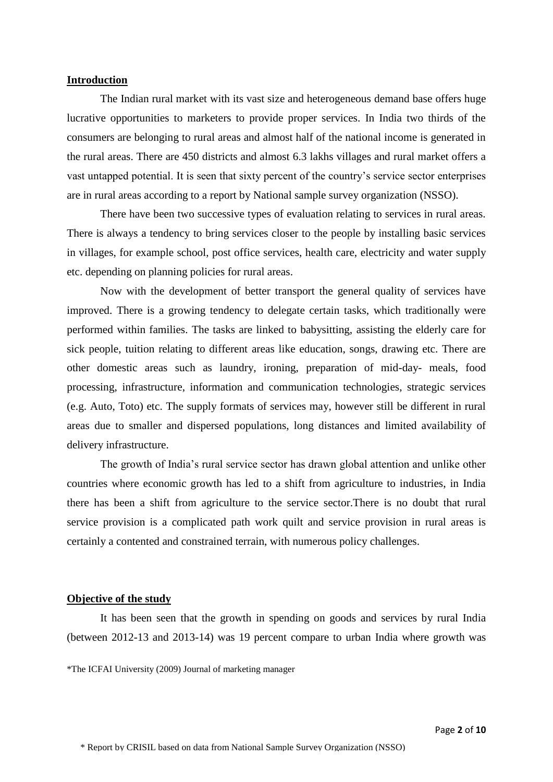## **Introduction**

The Indian rural market with its vast size and heterogeneous demand base offers huge lucrative opportunities to marketers to provide proper services. In India two thirds of the consumers are belonging to rural areas and almost half of the national income is generated in the rural areas. There are 450 districts and almost 6.3 lakhs villages and rural market offers a vast untapped potential. It is seen that sixty percent of the country"s service sector enterprises are in rural areas according to a report by National sample survey organization (NSSO).

There have been two successive types of evaluation relating to services in rural areas. There is always a tendency to bring services closer to the people by installing basic services in villages, for example school, post office services, health care, electricity and water supply etc. depending on planning policies for rural areas.

Now with the development of better transport the general quality of services have improved. There is a growing tendency to delegate certain tasks, which traditionally were performed within families. The tasks are linked to babysitting, assisting the elderly care for sick people, tuition relating to different areas like education, songs, drawing etc. There are other domestic areas such as laundry, ironing, preparation of mid-day- meals, food processing, infrastructure, information and communication technologies, strategic services (e.g. Auto, Toto) etc. The supply formats of services may, however still be different in rural areas due to smaller and dispersed populations, long distances and limited availability of delivery infrastructure.

The growth of India"s rural service sector has drawn global attention and unlike other countries where economic growth has led to a shift from agriculture to industries, in India there has been a shift from agriculture to the service sector.There is no doubt that rural service provision is a complicated path work quilt and service provision in rural areas is certainly a contented and constrained terrain, with numerous policy challenges.

#### **Objective of the study**

It has been seen that the growth in spending on goods and services by rural India (between 2012-13 and 2013-14) was 19 percent compare to urban India where growth was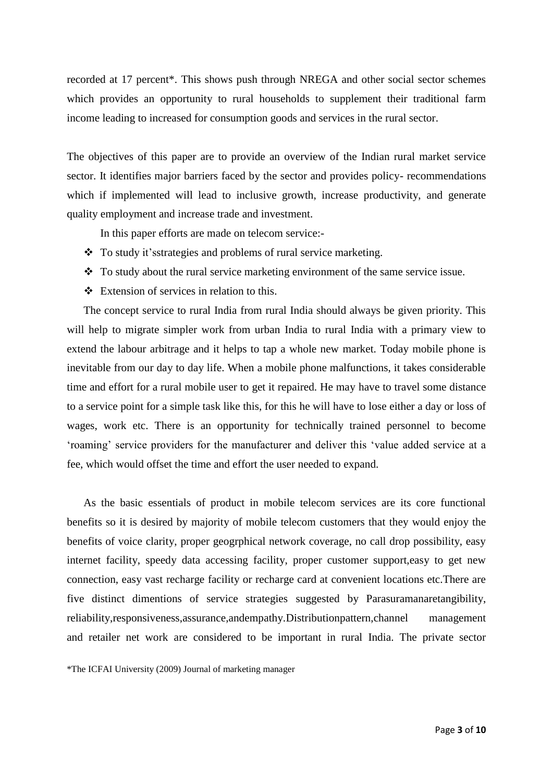recorded at 17 percent\*. This shows push through NREGA and other social sector schemes which provides an opportunity to rural households to supplement their traditional farm income leading to increased for consumption goods and services in the rural sector.

The objectives of this paper are to provide an overview of the Indian rural market service sector. It identifies major barriers faced by the sector and provides policy- recommendations which if implemented will lead to inclusive growth, increase productivity, and generate quality employment and increase trade and investment.

In this paper efforts are made on telecom service:-

- To study it's strategies and problems of rural service marketing.
- \* To study about the rural service marketing environment of the same service issue.
- Extension of services in relation to this.

The concept service to rural India from rural India should always be given priority. This will help to migrate simpler work from urban India to rural India with a primary view to extend the labour arbitrage and it helps to tap a whole new market. Today mobile phone is inevitable from our day to day life. When a mobile phone malfunctions, it takes considerable time and effort for a rural mobile user to get it repaired. He may have to travel some distance to a service point for a simple task like this, for this he will have to lose either a day or loss of wages, work etc. There is an opportunity for technically trained personnel to become "roaming" service providers for the manufacturer and deliver this "value added service at a fee, which would offset the time and effort the user needed to expand.

As the basic essentials of product in mobile telecom services are its core functional benefits so it is desired by majority of mobile telecom customers that they would enjoy the benefits of voice clarity, proper geogrphical network coverage, no call drop possibility, easy internet facility, speedy data accessing facility, proper customer support,easy to get new connection, easy vast recharge facility or recharge card at convenient locations etc.There are five distinct dimentions of service strategies suggested by Parasuramanaretangibility, reliability,responsiveness,assurance,andempathy.Distributionpattern,channel management and retailer net work are considered to be important in rural India. The private sector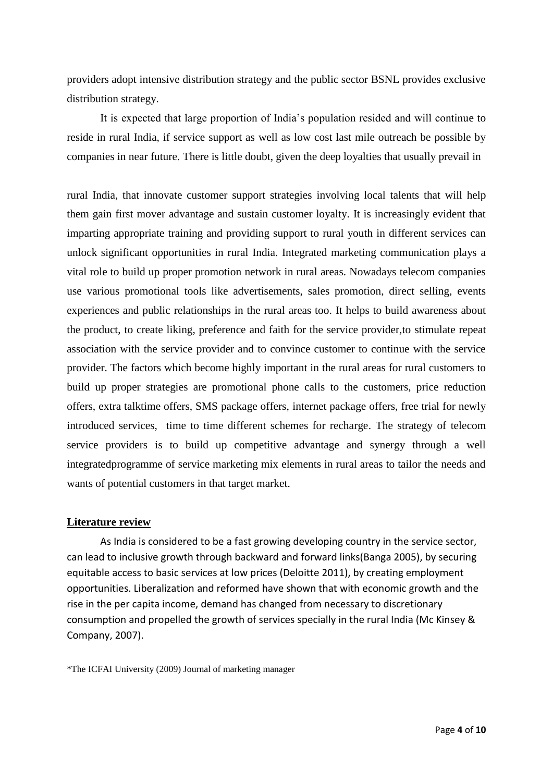providers adopt intensive distribution strategy and the public sector BSNL provides exclusive distribution strategy.

It is expected that large proportion of India"s population resided and will continue to reside in rural India, if service support as well as low cost last mile outreach be possible by companies in near future. There is little doubt, given the deep loyalties that usually prevail in

rural India, that innovate customer support strategies involving local talents that will help them gain first mover advantage and sustain customer loyalty. It is increasingly evident that imparting appropriate training and providing support to rural youth in different services can unlock significant opportunities in rural India. Integrated marketing communication plays a vital role to build up proper promotion network in rural areas. Nowadays telecom companies use various promotional tools like advertisements, sales promotion, direct selling, events experiences and public relationships in the rural areas too. It helps to build awareness about the product, to create liking, preference and faith for the service provider,to stimulate repeat association with the service provider and to convince customer to continue with the service provider. The factors which become highly important in the rural areas for rural customers to build up proper strategies are promotional phone calls to the customers, price reduction offers, extra talktime offers, SMS package offers, internet package offers, free trial for newly introduced services, time to time different schemes for recharge. The strategy of telecom service providers is to build up competitive advantage and synergy through a well integratedprogramme of service marketing mix elements in rural areas to tailor the needs and wants of potential customers in that target market.

## **Literature review**

As India is considered to be a fast growing developing country in the service sector, can lead to inclusive growth through backward and forward links(Banga 2005), by securing equitable access to basic services at low prices (Deloitte 2011), by creating employment opportunities. Liberalization and reformed have shown that with economic growth and the rise in the per capita income, demand has changed from necessary to discretionary consumption and propelled the growth of services specially in the rural India (Mc Kinsey & Company, 2007).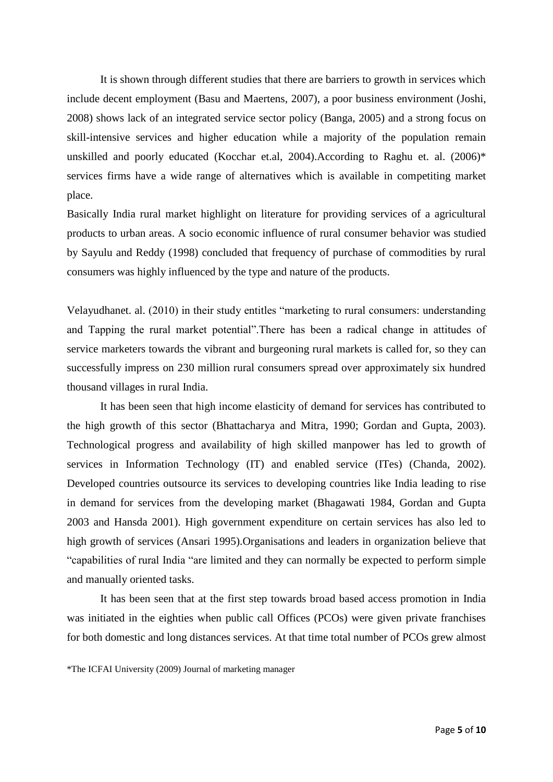It is shown through different studies that there are barriers to growth in services which include decent employment (Basu and Maertens, 2007), a poor business environment (Joshi, 2008) shows lack of an integrated service sector policy (Banga, 2005) and a strong focus on skill-intensive services and higher education while a majority of the population remain unskilled and poorly educated (Kocchar et.al, 2004).According to Raghu et. al. (2006)\* services firms have a wide range of alternatives which is available in competiting market place.

Basically India rural market highlight on literature for providing services of a agricultural products to urban areas. A socio economic influence of rural consumer behavior was studied by Sayulu and Reddy (1998) concluded that frequency of purchase of commodities by rural consumers was highly influenced by the type and nature of the products.

Velayudhanet. al. (2010) in their study entitles "marketing to rural consumers: understanding and Tapping the rural market potential".There has been a radical change in attitudes of service marketers towards the vibrant and burgeoning rural markets is called for, so they can successfully impress on 230 million rural consumers spread over approximately six hundred thousand villages in rural India.

It has been seen that high income elasticity of demand for services has contributed to the high growth of this sector (Bhattacharya and Mitra, 1990; Gordan and Gupta, 2003). Technological progress and availability of high skilled manpower has led to growth of services in Information Technology (IT) and enabled service (ITes) (Chanda, 2002). Developed countries outsource its services to developing countries like India leading to rise in demand for services from the developing market (Bhagawati 1984, Gordan and Gupta 2003 and Hansda 2001). High government expenditure on certain services has also led to high growth of services (Ansari 1995).Organisations and leaders in organization believe that "capabilities of rural India "are limited and they can normally be expected to perform simple and manually oriented tasks.

It has been seen that at the first step towards broad based access promotion in India was initiated in the eighties when public call Offices (PCOs) were given private franchises for both domestic and long distances services. At that time total number of PCOs grew almost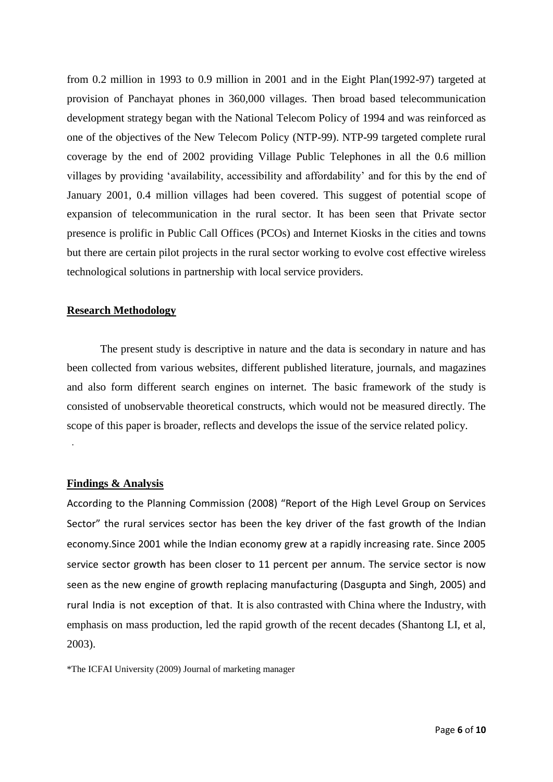from 0.2 million in 1993 to 0.9 million in 2001 and in the Eight Plan(1992-97) targeted at provision of Panchayat phones in 360,000 villages. Then broad based telecommunication development strategy began with the National Telecom Policy of 1994 and was reinforced as one of the objectives of the New Telecom Policy (NTP-99). NTP-99 targeted complete rural coverage by the end of 2002 providing Village Public Telephones in all the 0.6 million villages by providing "availability, accessibility and affordability" and for this by the end of January 2001, 0.4 million villages had been covered. This suggest of potential scope of expansion of telecommunication in the rural sector. It has been seen that Private sector presence is prolific in Public Call Offices (PCOs) and Internet Kiosks in the cities and towns but there are certain pilot projects in the rural sector working to evolve cost effective wireless technological solutions in partnership with local service providers.

## **Research Methodology**

The present study is descriptive in nature and the data is secondary in nature and has been collected from various websites, different published literature, journals, and magazines and also form different search engines on internet. The basic framework of the study is consisted of unobservable theoretical constructs, which would not be measured directly. The scope of this paper is broader, reflects and develops the issue of the service related policy. .

## **Findings & Analysis**

According to the Planning Commission (2008) "Report of the High Level Group on Services Sector" the rural services sector has been the key driver of the fast growth of the Indian economy.Since 2001 while the Indian economy grew at a rapidly increasing rate. Since 2005 service sector growth has been closer to 11 percent per annum. The service sector is now seen as the new engine of growth replacing manufacturing (Dasgupta and Singh, 2005) and rural India is not exception of that. It is also contrasted with China where the Industry, with emphasis on mass production, led the rapid growth of the recent decades (Shantong LI, et al, 2003).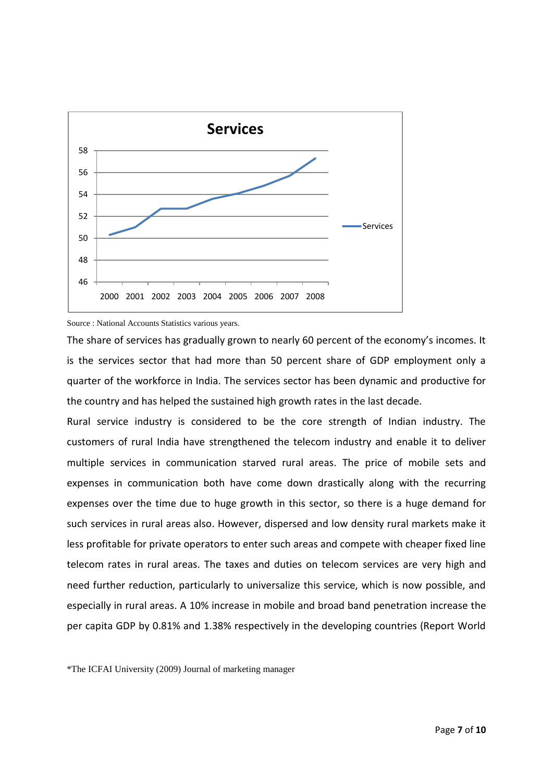

#### Source : National Accounts Statistics various years.

The share of services has gradually grown to nearly 60 percent of the economy's incomes. It is the services sector that had more than 50 percent share of GDP employment only a quarter of the workforce in India. The services sector has been dynamic and productive for the country and has helped the sustained high growth rates in the last decade.

Rural service industry is considered to be the core strength of Indian industry. The customers of rural India have strengthened the telecom industry and enable it to deliver multiple services in communication starved rural areas. The price of mobile sets and expenses in communication both have come down drastically along with the recurring expenses over the time due to huge growth in this sector, so there is a huge demand for such services in rural areas also. However, dispersed and low density rural markets make it less profitable for private operators to enter such areas and compete with cheaper fixed line telecom rates in rural areas. The taxes and duties on telecom services are very high and need further reduction, particularly to universalize this service, which is now possible, and especially in rural areas. A 10% increase in mobile and broad band penetration increase the per capita GDP by 0.81% and 1.38% respectively in the developing countries (Report World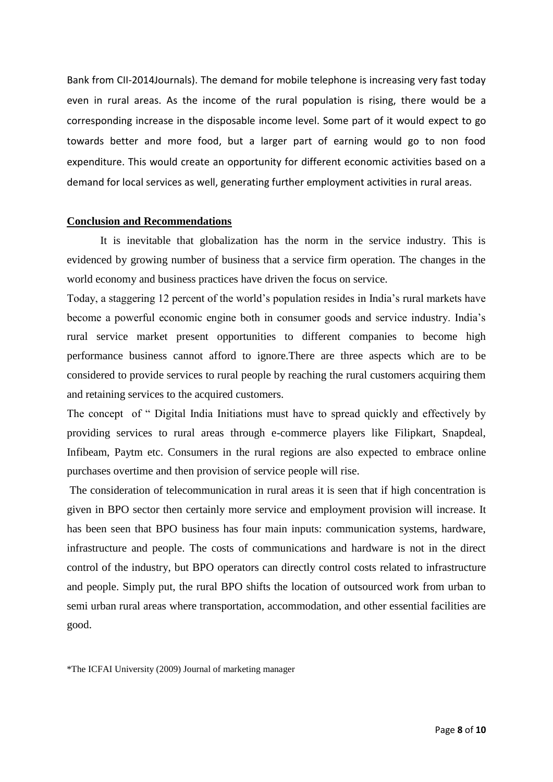Bank from CII-2014Journals). The demand for mobile telephone is increasing very fast today even in rural areas. As the income of the rural population is rising, there would be a corresponding increase in the disposable income level. Some part of it would expect to go towards better and more food, but a larger part of earning would go to non food expenditure. This would create an opportunity for different economic activities based on a demand for local services as well, generating further employment activities in rural areas.

#### **Conclusion and Recommendations**

It is inevitable that globalization has the norm in the service industry. This is evidenced by growing number of business that a service firm operation. The changes in the world economy and business practices have driven the focus on service.

Today, a staggering 12 percent of the world"s population resides in India"s rural markets have become a powerful economic engine both in consumer goods and service industry. India"s rural service market present opportunities to different companies to become high performance business cannot afford to ignore.There are three aspects which are to be considered to provide services to rural people by reaching the rural customers acquiring them and retaining services to the acquired customers.

The concept of " Digital India Initiations must have to spread quickly and effectively by providing services to rural areas through e-commerce players like Filipkart, Snapdeal, Infibeam, Paytm etc. Consumers in the rural regions are also expected to embrace online purchases overtime and then provision of service people will rise.

The consideration of telecommunication in rural areas it is seen that if high concentration is given in BPO sector then certainly more service and employment provision will increase. It has been seen that BPO business has four main inputs: communication systems, hardware, infrastructure and people. The costs of communications and hardware is not in the direct control of the industry, but BPO operators can directly control costs related to infrastructure and people. Simply put, the rural BPO shifts the location of outsourced work from urban to semi urban rural areas where transportation, accommodation, and other essential facilities are good.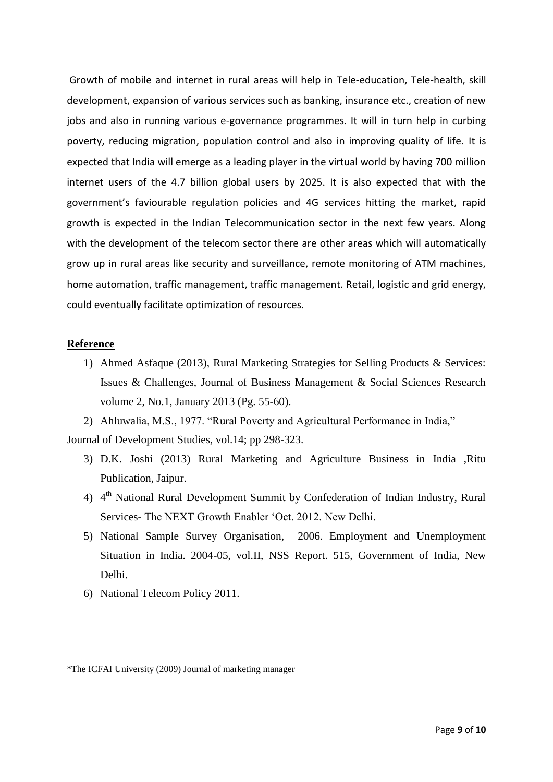Growth of mobile and internet in rural areas will help in Tele-education, Tele-health, skill development, expansion of various services such as banking, insurance etc., creation of new jobs and also in running various e-governance programmes. It will in turn help in curbing poverty, reducing migration, population control and also in improving quality of life. It is expected that India will emerge as a leading player in the virtual world by having 700 million internet users of the 4.7 billion global users by 2025. It is also expected that with the government's faviourable regulation policies and 4G services hitting the market, rapid growth is expected in the Indian Telecommunication sector in the next few years. Along with the development of the telecom sector there are other areas which will automatically grow up in rural areas like security and surveillance, remote monitoring of ATM machines, home automation, traffic management, traffic management. Retail, logistic and grid energy, could eventually facilitate optimization of resources.

## **Reference**

1) Ahmed Asfaque (2013), Rural Marketing Strategies for Selling Products & Services: Issues & Challenges, Journal of Business Management & Social Sciences Research volume 2, No.1, January 2013 (Pg. 55-60).

2) Ahluwalia, M.S., 1977. "Rural Poverty and Agricultural Performance in India," Journal of Development Studies, vol.14; pp 298-323.

- 3) D.K. Joshi (2013) Rural Marketing and Agriculture Business in India ,Ritu Publication, Jaipur.
- 4) 4<sup>th</sup> National Rural Development Summit by Confederation of Indian Industry, Rural Services- The NEXT Growth Enabler "Oct. 2012. New Delhi.
- 5) National Sample Survey Organisation, 2006. Employment and Unemployment Situation in India. 2004-05, vol.II, NSS Report. 515, Government of India, New Delhi.
- 6) National Telecom Policy 2011.